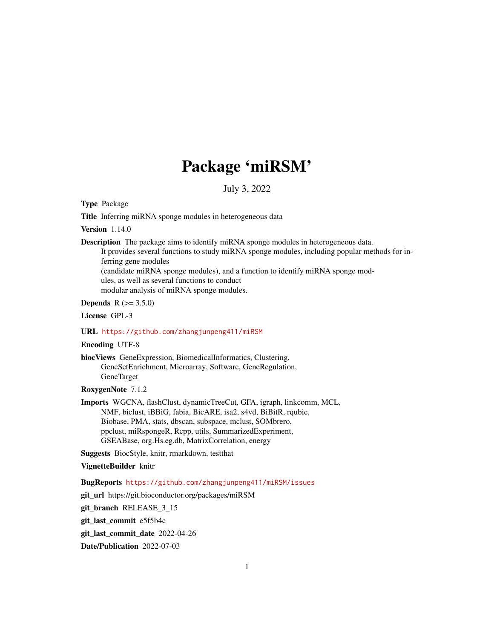# Package 'miRSM'

July 3, 2022

Type Package

Title Inferring miRNA sponge modules in heterogeneous data

Version 1.14.0

Description The package aims to identify miRNA sponge modules in heterogeneous data.

It provides several functions to study miRNA sponge modules, including popular methods for inferring gene modules (candidate miRNA sponge modules), and a function to identify miRNA sponge mod-

ules, as well as several functions to conduct modular analysis of miRNA sponge modules.

**Depends**  $R (= 3.5.0)$ 

License GPL-3

# URL <https://github.com/zhangjunpeng411/miRSM>

#### Encoding UTF-8

biocViews GeneExpression, BiomedicalInformatics, Clustering, GeneSetEnrichment, Microarray, Software, GeneRegulation, GeneTarget

RoxygenNote 7.1.2

Imports WGCNA, flashClust, dynamicTreeCut, GFA, igraph, linkcomm, MCL, NMF, biclust, iBBiG, fabia, BicARE, isa2, s4vd, BiBitR, rqubic, Biobase, PMA, stats, dbscan, subspace, mclust, SOMbrero, ppclust, miRspongeR, Rcpp, utils, SummarizedExperiment, GSEABase, org.Hs.eg.db, MatrixCorrelation, energy

Suggests BiocStyle, knitr, rmarkdown, testthat

# VignetteBuilder knitr

BugReports <https://github.com/zhangjunpeng411/miRSM/issues>

git\_url https://git.bioconductor.org/packages/miRSM

git\_branch RELEASE\_3\_15

git\_last\_commit e5f5b4c

git last commit date 2022-04-26

Date/Publication 2022-07-03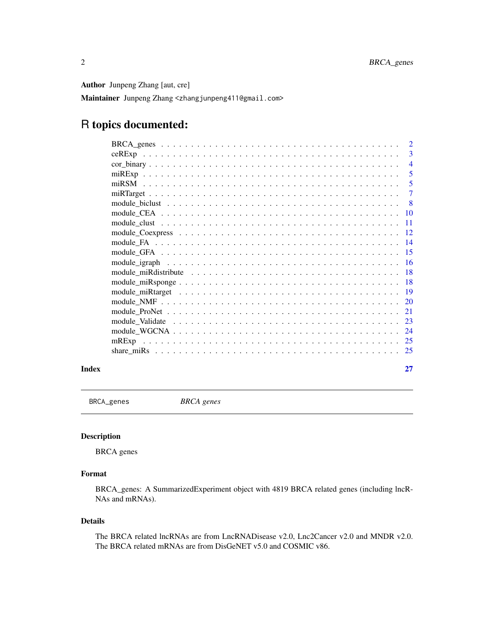Author Junpeng Zhang [aut, cre]

Maintainer Junpeng Zhang <zhangjunpeng411@gmail.com>

# R topics documented:

| $\overline{2}$  |
|-----------------|
| 3               |
| 4               |
| 5               |
| 5               |
|                 |
| -8              |
| <b>10</b>       |
| <b>11</b>       |
| -12             |
| $\overline{14}$ |
| -15             |
| - 16            |
| -18             |
| -18             |
| $\overline{19}$ |
| 20              |
| 21              |
| 23              |
| 24              |
|                 |
| 25              |
|                 |

#### **Index** [27](#page-26-0)

BRCA\_genes *BRCA genes*

# Description

BRCA genes

# Format

BRCA\_genes: A SummarizedExperiment object with 4819 BRCA related genes (including lncR-NAs and mRNAs).

# Details

The BRCA related lncRNAs are from LncRNADisease v2.0, Lnc2Cancer v2.0 and MNDR v2.0. The BRCA related mRNAs are from DisGeNET v5.0 and COSMIC v86.

<span id="page-1-0"></span>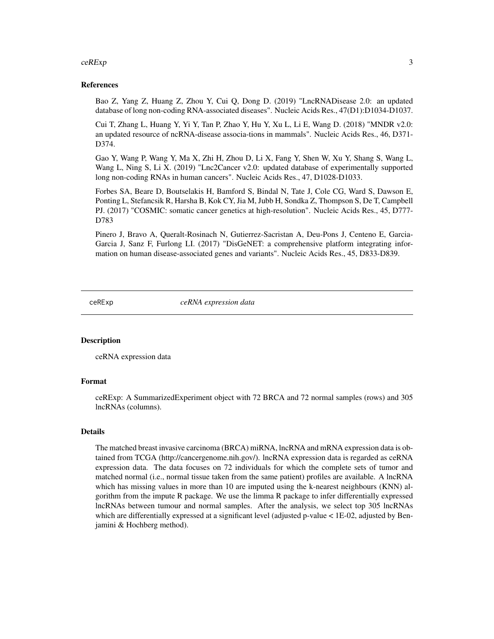#### <span id="page-2-0"></span> $ceRExp$  3

#### References

Bao Z, Yang Z, Huang Z, Zhou Y, Cui Q, Dong D. (2019) "LncRNADisease 2.0: an updated database of long non-coding RNA-associated diseases". Nucleic Acids Res., 47(D1):D1034-D1037.

Cui T, Zhang L, Huang Y, Yi Y, Tan P, Zhao Y, Hu Y, Xu L, Li E, Wang D. (2018) "MNDR v2.0: an updated resource of ncRNA-disease associa-tions in mammals". Nucleic Acids Res., 46, D371- D374.

Gao Y, Wang P, Wang Y, Ma X, Zhi H, Zhou D, Li X, Fang Y, Shen W, Xu Y, Shang S, Wang L, Wang L, Ning S, Li X. (2019) "Lnc2Cancer v2.0: updated database of experimentally supported long non-coding RNAs in human cancers". Nucleic Acids Res., 47, D1028-D1033.

Forbes SA, Beare D, Boutselakis H, Bamford S, Bindal N, Tate J, Cole CG, Ward S, Dawson E, Ponting L, Stefancsik R, Harsha B, Kok CY, Jia M, Jubb H, Sondka Z, Thompson S, De T, Campbell PJ. (2017) "COSMIC: somatic cancer genetics at high-resolution". Nucleic Acids Res., 45, D777- D783

Pinero J, Bravo A, Queralt-Rosinach N, Gutierrez-Sacristan A, Deu-Pons J, Centeno E, Garcia-Garcia J, Sanz F, Furlong LI. (2017) "DisGeNET: a comprehensive platform integrating information on human disease-associated genes and variants". Nucleic Acids Res., 45, D833-D839.

ceRExp *ceRNA expression data*

#### **Description**

ceRNA expression data

#### Format

ceRExp: A SummarizedExperiment object with 72 BRCA and 72 normal samples (rows) and 305 lncRNAs (columns).

#### Details

The matched breast invasive carcinoma (BRCA) miRNA, lncRNA and mRNA expression data is obtained from TCGA (http://cancergenome.nih.gov/). lncRNA expression data is regarded as ceRNA expression data. The data focuses on 72 individuals for which the complete sets of tumor and matched normal (i.e., normal tissue taken from the same patient) profiles are available. A lncRNA which has missing values in more than 10 are imputed using the k-nearest neighbours (KNN) algorithm from the impute R package. We use the limma R package to infer differentially expressed lncRNAs between tumour and normal samples. After the analysis, we select top 305 lncRNAs which are differentially expressed at a significant level (adjusted p-value < 1E-02, adjusted by Benjamini & Hochberg method).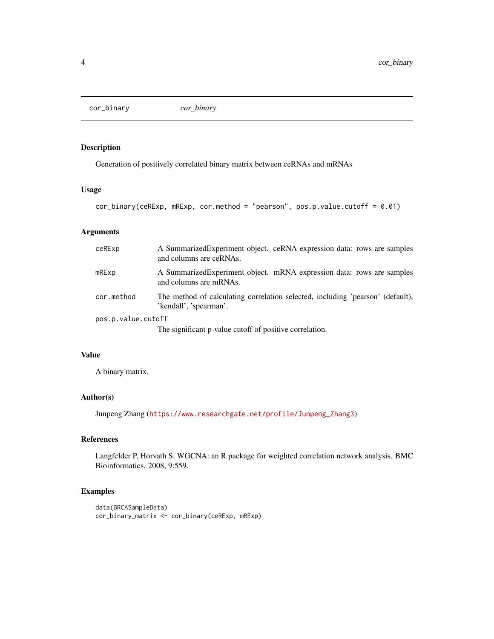<span id="page-3-0"></span>cor\_binary *cor\_binary*

# Description

Generation of positively correlated binary matrix between ceRNAs and mRNAs

#### Usage

```
cor_binary(ceRExp, mRExp, cor.method = "pearson", pos.p.value.cutoff = 0.01)
```
# Arguments

| ceRExp             | A Summarized Experiment object. ceRNA expression data: rows are samples<br>and columns are ceRNAs.       |
|--------------------|----------------------------------------------------------------------------------------------------------|
| mRExp              | A Summarized Experiment object. mRNA expression data: rows are samples<br>and columns are mRNAs.         |
| cor.method         | The method of calculating correlation selected, including 'pearson' (default),<br>'kendall', 'spearman'. |
| pos.p.value.cutoff |                                                                                                          |
|                    | The significant p-value cutoff of positive correlation.                                                  |

# Value

A binary matrix.

# Author(s)

Junpeng Zhang ([https://www.researchgate.net/profile/Junpeng\\_Zhang3](https://www.researchgate.net/profile/Junpeng_Zhang3))

### References

Langfelder P, Horvath S. WGCNA: an R package for weighted correlation network analysis. BMC Bioinformatics. 2008, 9:559.

```
data(BRCASampleData)
cor_binary_matrix <- cor_binary(ceRExp, mRExp)
```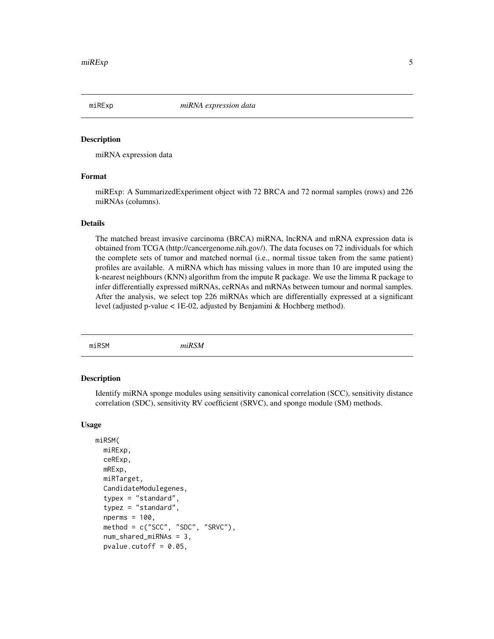<span id="page-4-0"></span>

#### Description

miRNA expression data

#### Format

miRExp: A SummarizedExperiment object with 72 BRCA and 72 normal samples (rows) and 226 miRNAs (columns).

#### Details

The matched breast invasive carcinoma (BRCA) miRNA, lncRNA and mRNA expression data is obtained from TCGA (http://cancergenome.nih.gov/). The data focuses on 72 individuals for which the complete sets of tumor and matched normal (i.e., normal tissue taken from the same patient) profiles are available. A miRNA which has missing values in more than 10 are imputed using the k-nearest neighbours (KNN) algorithm from the impute R package. We use the limma R package to infer differentially expressed miRNAs, ceRNAs and mRNAs between tumour and normal samples. After the analysis, we select top 226 miRNAs which are differentially expressed at a significant level (adjusted p-value < 1E-02, adjusted by Benjamini & Hochberg method).

miRSM *miRSM*

# Description

Identify miRNA sponge modules using sensitivity canonical correlation (SCC), sensitivity distance correlation (SDC), sensitivity RV coefficient (SRVC), and sponge module (SM) methods.

#### Usage

```
miRSM(
 miRExp,
  ceRExp,
 mRExp,
  miRTarget,
  CandidateModulegenes,
  typex = "standard",
  typez = "standard",
  nperms = 100.
  method = c("SCC", "SDC", "SRVC"),
  num_shared_miRNAs = 3,
  pvalue.cutoff = 0.05,
```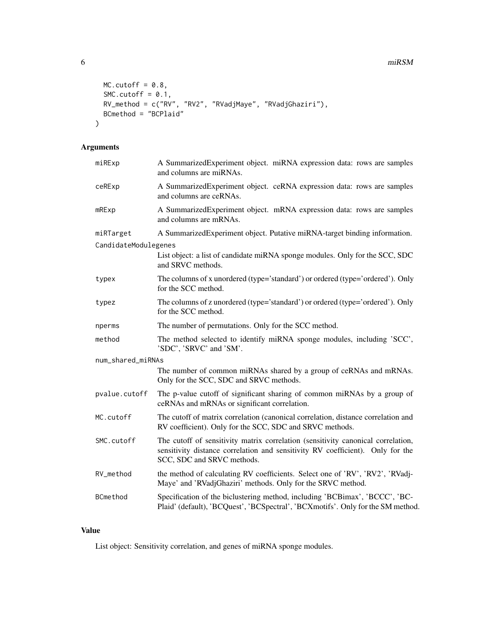```
MC.cutoff = 0.8,SMC.cutoff = 0.1,
 RV_method = c("RV", "RV2", "RVadjMaye", "RVadjGhaziri"),
 BCmethod = "BCPlaid"
)
```
# Arguments

| miRExp               | A SummarizedExperiment object. miRNA expression data: rows are samples<br>and columns are miRNAs.                                                                                                |
|----------------------|--------------------------------------------------------------------------------------------------------------------------------------------------------------------------------------------------|
| ceRExp               | A SummarizedExperiment object. ceRNA expression data: rows are samples<br>and columns are ceRNAs.                                                                                                |
| mRExp                | A SummarizedExperiment object. mRNA expression data: rows are samples<br>and columns are mRNAs.                                                                                                  |
| miRTarget            | A SummarizedExperiment object. Putative miRNA-target binding information.                                                                                                                        |
| CandidateModulegenes |                                                                                                                                                                                                  |
|                      | List object: a list of candidate miRNA sponge modules. Only for the SCC, SDC<br>and SRVC methods.                                                                                                |
| typex                | The columns of x unordered (type='standard') or ordered (type='ordered'). Only<br>for the SCC method.                                                                                            |
| typez                | The columns of z unordered (type='standard') or ordered (type='ordered'). Only<br>for the SCC method.                                                                                            |
| nperms               | The number of permutations. Only for the SCC method.                                                                                                                                             |
| method               | The method selected to identify miRNA sponge modules, including 'SCC',<br>'SDC', 'SRVC' and 'SM'.                                                                                                |
| num_shared_miRNAs    |                                                                                                                                                                                                  |
|                      | The number of common miRNAs shared by a group of ceRNAs and mRNAs.<br>Only for the SCC, SDC and SRVC methods.                                                                                    |
| pvalue.cutoff        | The p-value cutoff of significant sharing of common miRNAs by a group of<br>ceRNAs and mRNAs or significant correlation.                                                                         |
| MC.cutoff            | The cutoff of matrix correlation (canonical correlation, distance correlation and<br>RV coefficient). Only for the SCC, SDC and SRVC methods.                                                    |
| SMC.cutoff           | The cutoff of sensitivity matrix correlation (sensitivity canonical correlation,<br>sensitivity distance correlation and sensitivity RV coefficient). Only for the<br>SCC, SDC and SRVC methods. |
| RV_method            | the method of calculating RV coefficients. Select one of 'RV', 'RV2', 'RVadj-<br>Maye' and 'RVadjGhaziri' methods. Only for the SRVC method.                                                     |
| BCmethod             | Specification of the biclustering method, including 'BCBimax', 'BCCC', 'BC-<br>Plaid' (default), 'BCQuest', 'BCSpectral', 'BCXmotifs'. Only for the SM method.                                   |

## Value

List object: Sensitivity correlation, and genes of miRNA sponge modules.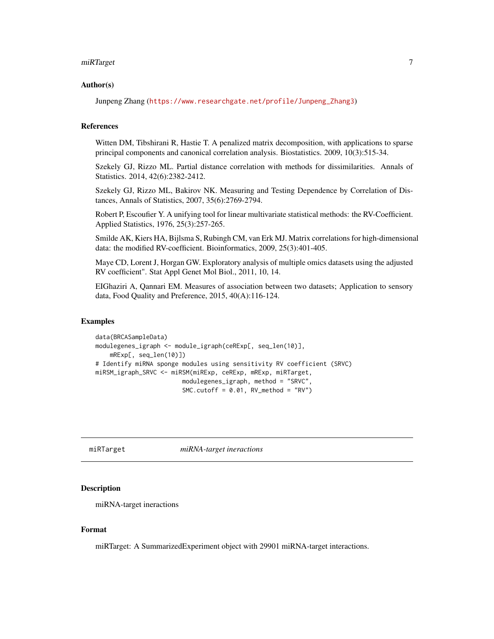#### <span id="page-6-0"></span> $m$ i $R$ Target  $7$

#### Author(s)

Junpeng Zhang ([https://www.researchgate.net/profile/Junpeng\\_Zhang3](https://www.researchgate.net/profile/Junpeng_Zhang3))

#### References

Witten DM, Tibshirani R, Hastie T. A penalized matrix decomposition, with applications to sparse principal components and canonical correlation analysis. Biostatistics. 2009, 10(3):515-34.

Szekely GJ, Rizzo ML. Partial distance correlation with methods for dissimilarities. Annals of Statistics. 2014, 42(6):2382-2412.

Szekely GJ, Rizzo ML, Bakirov NK. Measuring and Testing Dependence by Correlation of Distances, Annals of Statistics, 2007, 35(6):2769-2794.

Robert P, Escoufier Y. A unifying tool for linear multivariate statistical methods: the RV-Coefficient. Applied Statistics, 1976, 25(3):257-265.

Smilde AK, Kiers HA, Bijlsma S, Rubingh CM, van Erk MJ. Matrix correlations for high-dimensional data: the modified RV-coefficient. Bioinformatics, 2009, 25(3):401-405.

Maye CD, Lorent J, Horgan GW. Exploratory analysis of multiple omics datasets using the adjusted RV coefficient". Stat Appl Genet Mol Biol., 2011, 10, 14.

EIGhaziri A, Qannari EM. Measures of association between two datasets; Application to sensory data, Food Quality and Preference, 2015, 40(A):116-124.

#### Examples

```
data(BRCASampleData)
modulegenes_igraph <- module_igraph(ceRExp[, seq_len(10)],
   mRExp[, seq_len(10)])
# Identify miRNA sponge modules using sensitivity RV coefficient (SRVC)
miRSM_igraph_SRVC <- miRSM(miRExp, ceRExp, mRExp, miRTarget,
                        modulegenes_igraph, method = "SRVC",
                        SMC.cutoff = 0.01, RV_method = "RV")
```
miRTarget *miRNA-target ineractions*

#### Description

miRNA-target ineractions

#### Format

miRTarget: A SummarizedExperiment object with 29901 miRNA-target interactions.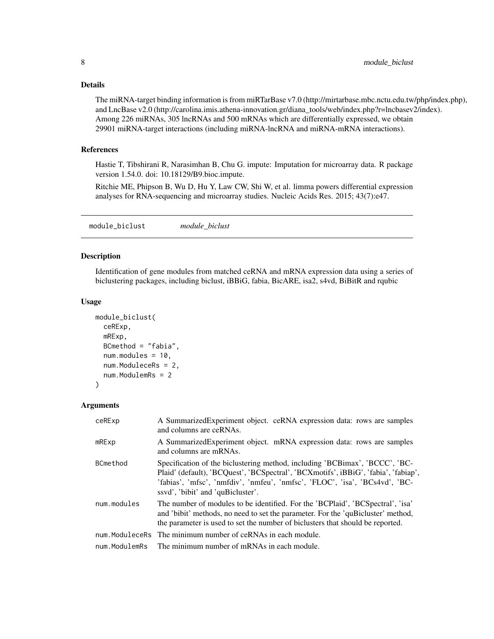# <span id="page-7-0"></span>Details

The miRNA-target binding information is from miRTarBase v7.0 (http://mirtarbase.mbc.nctu.edu.tw/php/index.php), and LncBase v2.0 (http://carolina.imis.athena-innovation.gr/diana\_tools/web/index.php?r=lncbasev2/index). Among 226 miRNAs, 305 lncRNAs and 500 mRNAs which are differentially expressed, we obtain 29901 miRNA-target interactions (including miRNA-lncRNA and miRNA-mRNA interactions).

#### References

Hastie T, Tibshirani R, Narasimhan B, Chu G. impute: Imputation for microarray data. R package version 1.54.0. doi: 10.18129/B9.bioc.impute.

Ritchie ME, Phipson B, Wu D, Hu Y, Law CW, Shi W, et al. limma powers differential expression analyses for RNA-sequencing and microarray studies. Nucleic Acids Res. 2015; 43(7):e47.

module\_biclust *module\_biclust*

# Description

Identification of gene modules from matched ceRNA and mRNA expression data using a series of biclustering packages, including biclust, iBBiG, fabia, BicARE, isa2, s4vd, BiBitR and rqubic

#### Usage

```
module_biclust(
  ceRExp,
  mRExp,
  BCmethod = "fabia",
  num.modules = 10,
  num.ModuleceRs = 2,
  num.ModulemRs = 2
)
```
#### Arguments

| ceRExp        | A Summarized Experiment object. ceRNA expression data: rows are samples<br>and columns are ceRNAs.                                                                                                                                                                                    |
|---------------|---------------------------------------------------------------------------------------------------------------------------------------------------------------------------------------------------------------------------------------------------------------------------------------|
| $m$ R $Exp$   | A Summarized Experiment object. mRNA expression data: rows are samples<br>and columns are mRNAs.                                                                                                                                                                                      |
| BCmethod      | Specification of the biclustering method, including 'BCBimax', 'BCCC', 'BC-<br>Plaid' (default), 'BCQuest', 'BCSpectral', 'BCXmotifs', iBBiG', 'fabia', 'fabiap',<br>'fabias', 'mfsc', 'nmfdiv', 'nmfeu', 'nmfsc', 'FLOC', 'isa', 'BCs4vd', 'BC-<br>ssyd', 'bibit' and 'quBicluster'. |
| num.modules   | The number of modules to be identified. For the 'BCPlaid', 'BCSpectral', 'isa'<br>and 'bibit' methods, no need to set the parameter. For the 'quBicluster' method,<br>the parameter is used to set the number of biclusters that should be reported.                                  |
|               | num. ModuleceRs The minimum number of ceRNAs in each module.                                                                                                                                                                                                                          |
| num.ModulemRs | The minimum number of mRNAs in each module.                                                                                                                                                                                                                                           |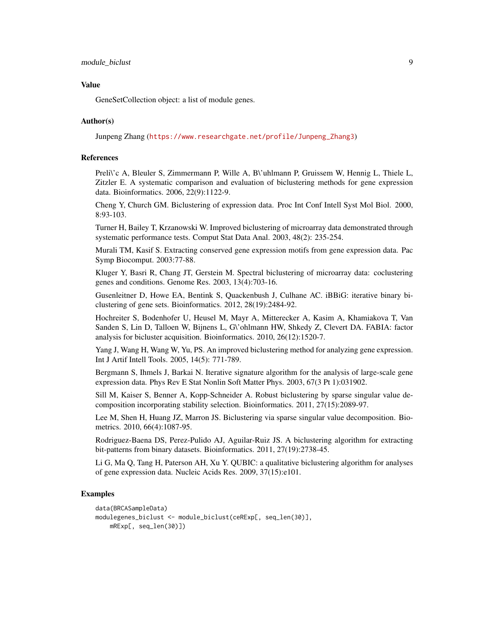#### Value

GeneSetCollection object: a list of module genes.

#### Author(s)

Junpeng Zhang ([https://www.researchgate.net/profile/Junpeng\\_Zhang3](https://www.researchgate.net/profile/Junpeng_Zhang3))

# References

Preli\'c A, Bleuler S, Zimmermann P, Wille A, B\'uhlmann P, Gruissem W, Hennig L, Thiele L, Zitzler E. A systematic comparison and evaluation of biclustering methods for gene expression data. Bioinformatics. 2006, 22(9):1122-9.

Cheng Y, Church GM. Biclustering of expression data. Proc Int Conf Intell Syst Mol Biol. 2000, 8:93-103.

Turner H, Bailey T, Krzanowski W. Improved biclustering of microarray data demonstrated through systematic performance tests. Comput Stat Data Anal. 2003, 48(2): 235-254.

Murali TM, Kasif S. Extracting conserved gene expression motifs from gene expression data. Pac Symp Biocomput. 2003:77-88.

Kluger Y, Basri R, Chang JT, Gerstein M. Spectral biclustering of microarray data: coclustering genes and conditions. Genome Res. 2003, 13(4):703-16.

Gusenleitner D, Howe EA, Bentink S, Quackenbush J, Culhane AC. iBBiG: iterative binary biclustering of gene sets. Bioinformatics. 2012, 28(19):2484-92.

Hochreiter S, Bodenhofer U, Heusel M, Mayr A, Mitterecker A, Kasim A, Khamiakova T, Van Sanden S, Lin D, Talloen W, Bijnens L, G\'ohlmann HW, Shkedy Z, Clevert DA. FABIA: factor analysis for bicluster acquisition. Bioinformatics. 2010, 26(12):1520-7.

Yang J, Wang H, Wang W, Yu, PS. An improved biclustering method for analyzing gene expression. Int J Artif Intell Tools. 2005, 14(5): 771-789.

Bergmann S, Ihmels J, Barkai N. Iterative signature algorithm for the analysis of large-scale gene expression data. Phys Rev E Stat Nonlin Soft Matter Phys. 2003, 67(3 Pt 1):031902.

Sill M, Kaiser S, Benner A, Kopp-Schneider A. Robust biclustering by sparse singular value decomposition incorporating stability selection. Bioinformatics. 2011, 27(15):2089-97.

Lee M, Shen H, Huang JZ, Marron JS. Biclustering via sparse singular value decomposition. Biometrics. 2010, 66(4):1087-95.

Rodriguez-Baena DS, Perez-Pulido AJ, Aguilar-Ruiz JS. A biclustering algorithm for extracting bit-patterns from binary datasets. Bioinformatics. 2011, 27(19):2738-45.

Li G, Ma Q, Tang H, Paterson AH, Xu Y. QUBIC: a qualitative biclustering algorithm for analyses of gene expression data. Nucleic Acids Res. 2009, 37(15):e101.

```
data(BRCASampleData)
modulegenes_biclust <- module_biclust(ceRExp[, seq_len(30)],
   mRExp[, seq_len(30)])
```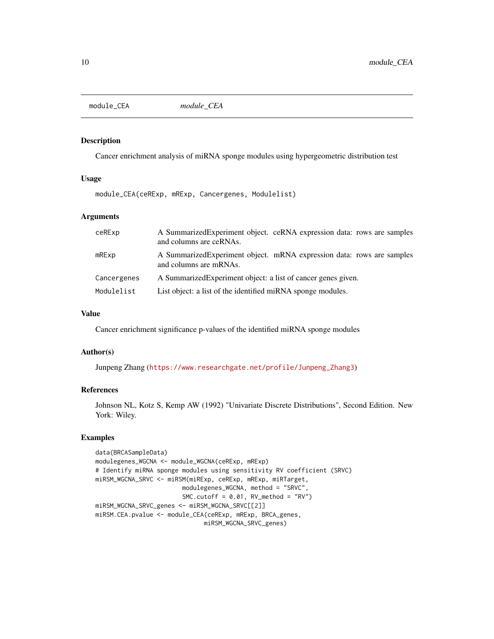<span id="page-9-0"></span>module\_CEA *module\_CEA*

#### Description

Cancer enrichment analysis of miRNA sponge modules using hypergeometric distribution test

#### Usage

module\_CEA(ceRExp, mRExp, Cancergenes, Modulelist)

#### **Arguments**

| ceRExp               | A Summarized Experiment object. ceRNA expression data: rows are samples<br>and columns are ceRNAs. |
|----------------------|----------------------------------------------------------------------------------------------------|
| $m$ R $E$ $\times$ p | A Summarized Experiment object. mRNA expression data: rows are samples<br>and columns are mRNAs.   |
| Cancergenes          | A Summarized Experiment object: a list of cancer genes given.                                      |
| Modulelist           | List object: a list of the identified miRNA sponge modules.                                        |

# Value

Cancer enrichment significance p-values of the identified miRNA sponge modules

# Author(s)

Junpeng Zhang ([https://www.researchgate.net/profile/Junpeng\\_Zhang3](https://www.researchgate.net/profile/Junpeng_Zhang3))

# References

Johnson NL, Kotz S, Kemp AW (1992) "Univariate Discrete Distributions", Second Edition. New York: Wiley.

```
data(BRCASampleData)
modulegenes_WGCNA <- module_WGCNA(ceRExp, mRExp)
# Identify miRNA sponge modules using sensitivity RV coefficient (SRVC)
miRSM_WGCNA_SRVC <- miRSM(miRExp, ceRExp, mRExp, miRTarget,
                       modulegenes_WGCNA, method = "SRVC",
                       SMC.cutoff = 0.01, RV_method = "RV")miRSM_WGCNA_SRVC_genes <- miRSM_WGCNA_SRVC[[2]]
miRSM.CEA.pvalue <- module_CEA(ceRExp, mRExp, BRCA_genes,
                              miRSM_WGCNA_SRVC_genes)
```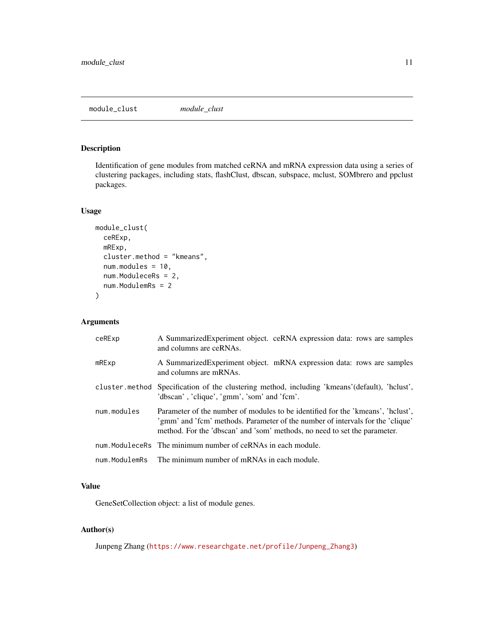# <span id="page-10-0"></span>Description

Identification of gene modules from matched ceRNA and mRNA expression data using a series of clustering packages, including stats, flashClust, dbscan, subspace, mclust, SOMbrero and ppclust packages.

# Usage

```
module_clust(
  ceRExp,
 mRExp,
  cluster.method = "kmeans",
  num.modules = 10,
  num.ModuleceRs = 2,
  num.ModulemRs = 2
)
```
# Arguments

| ceRExp         | A SummarizedExperiment object. ceRNA expression data: rows are samples<br>and columns are ceRNAs.                                                                                                                                              |
|----------------|------------------------------------------------------------------------------------------------------------------------------------------------------------------------------------------------------------------------------------------------|
| $m$ R $E$ $xp$ | A Summarized Experiment object. mRNA expression data: rows are samples<br>and columns are mRNAs.                                                                                                                                               |
|                | cluster method Specification of the clustering method, including 'kmeans' (default), 'helust',<br>'dbscan', 'clique', 'gmm', 'som' and 'fcm'.                                                                                                  |
| num.modules    | Parameter of the number of modules to be identified for the 'kmeans', 'holust',<br>'gmm' and 'fcm' methods. Parameter of the number of intervals for the 'clique'<br>method. For the 'dbscan' and 'som' methods, no need to set the parameter. |
|                | num. ModuleceRs The minimum number of ceRNAs in each module.                                                                                                                                                                                   |
| num.ModulemRs  | The minimum number of mRNAs in each module.                                                                                                                                                                                                    |

# Value

GeneSetCollection object: a list of module genes.

# Author(s)

Junpeng Zhang ([https://www.researchgate.net/profile/Junpeng\\_Zhang3](https://www.researchgate.net/profile/Junpeng_Zhang3))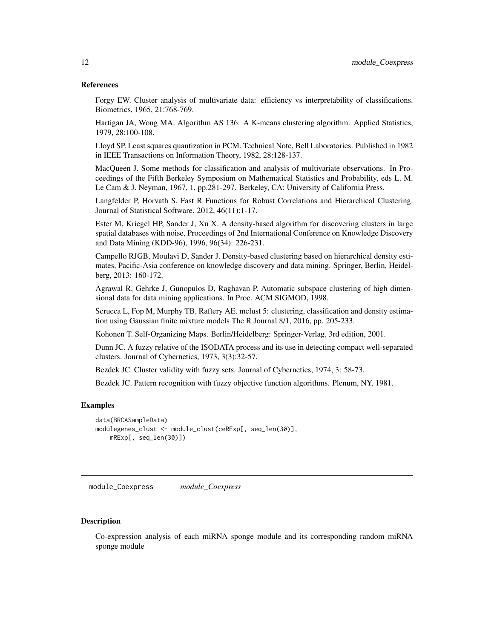#### <span id="page-11-0"></span>References

Forgy EW. Cluster analysis of multivariate data: efficiency vs interpretability of classifications. Biometrics, 1965, 21:768-769.

Hartigan JA, Wong MA. Algorithm AS 136: A K-means clustering algorithm. Applied Statistics, 1979, 28:100-108.

Lloyd SP. Least squares quantization in PCM. Technical Note, Bell Laboratories. Published in 1982 in IEEE Transactions on Information Theory, 1982, 28:128-137.

MacQueen J. Some methods for classification and analysis of multivariate observations. In Proceedings of the Fifth Berkeley Symposium on Mathematical Statistics and Probability, eds L. M. Le Cam & J. Neyman, 1967, 1, pp.281-297. Berkeley, CA: University of California Press.

Langfelder P, Horvath S. Fast R Functions for Robust Correlations and Hierarchical Clustering. Journal of Statistical Software. 2012, 46(11):1-17.

Ester M, Kriegel HP, Sander J, Xu X. A density-based algorithm for discovering clusters in large spatial databases with noise, Proceedings of 2nd International Conference on Knowledge Discovery and Data Mining (KDD-96), 1996, 96(34): 226-231.

Campello RJGB, Moulavi D, Sander J. Density-based clustering based on hierarchical density estimates, Pacific-Asia conference on knowledge discovery and data mining. Springer, Berlin, Heidelberg, 2013: 160-172.

Agrawal R, Gehrke J, Gunopulos D, Raghavan P. Automatic subspace clustering of high dimensional data for data mining applications. In Proc. ACM SIGMOD, 1998.

Scrucca L, Fop M, Murphy TB, Raftery AE. mclust 5: clustering, classification and density estimation using Gaussian finite mixture models The R Journal 8/1, 2016, pp. 205-233.

Kohonen T. Self-Organizing Maps. Berlin/Heidelberg: Springer-Verlag, 3rd edition, 2001.

Dunn JC. A fuzzy relative of the ISODATA process and its use in detecting compact well-separated clusters. Journal of Cybernetics, 1973, 3(3):32-57.

Bezdek JC. Cluster validity with fuzzy sets. Journal of Cybernetics, 1974, 3: 58-73.

Bezdek JC. Pattern recognition with fuzzy objective function algorithms. Plenum, NY, 1981.

#### Examples

```
data(BRCASampleData)
modulegenes_clust <- module_clust(ceRExp[, seq_len(30)],
    mRExp[, seq_len(30)])
```
module\_Coexpress *module\_Coexpress*

#### **Description**

Co-expression analysis of each miRNA sponge module and its corresponding random miRNA sponge module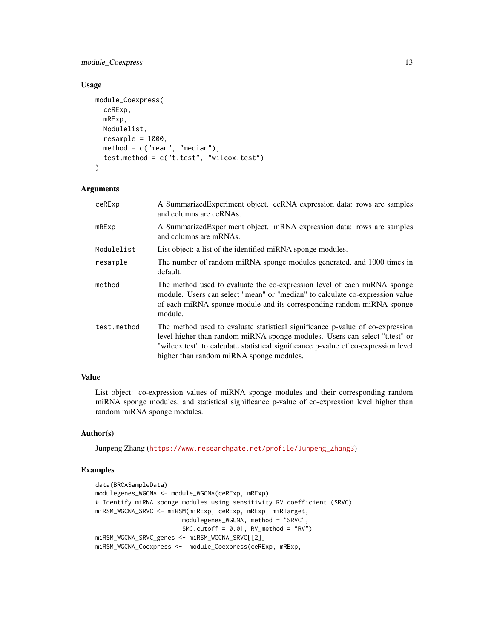# module\_Coexpress 13

# Usage

```
module_Coexpress(
 ceRExp,
  mRExp,
 Modulelist,
  resample = 1000,
 method = c("mean", "median"),test.method = c("t.test", "wilcox.test")
)
```
# Arguments

| ceRExp      | A Summarized Experiment object. ceRNA expression data: rows are samples<br>and columns are ceRNAs.                                                                                                                                                                                             |
|-------------|------------------------------------------------------------------------------------------------------------------------------------------------------------------------------------------------------------------------------------------------------------------------------------------------|
| mRExp       | A SummarizedExperiment object. mRNA expression data: rows are samples<br>and columns are mRNAs.                                                                                                                                                                                                |
| Modulelist  | List object: a list of the identified miRNA sponge modules.                                                                                                                                                                                                                                    |
| resample    | The number of random miRNA sponge modules generated, and 1000 times in<br>default.                                                                                                                                                                                                             |
| method      | The method used to evaluate the co-expression level of each miRNA sponge<br>module. Users can select "mean" or "median" to calculate co-expression value<br>of each miRNA sponge module and its corresponding random miRNA sponge<br>module.                                                   |
| test.method | The method used to evaluate statistical significance p-value of co-expression<br>level higher than random miRNA sponge modules. Users can select "t.test" or<br>"wilcox.test" to calculate statistical significance p-value of co-expression level<br>higher than random miRNA sponge modules. |

# Value

List object: co-expression values of miRNA sponge modules and their corresponding random miRNA sponge modules, and statistical significance p-value of co-expression level higher than random miRNA sponge modules.

# Author(s)

Junpeng Zhang ([https://www.researchgate.net/profile/Junpeng\\_Zhang3](https://www.researchgate.net/profile/Junpeng_Zhang3))

```
data(BRCASampleData)
modulegenes_WGCNA <- module_WGCNA(ceRExp, mRExp)
# Identify miRNA sponge modules using sensitivity RV coefficient (SRVC)
miRSM_WGCNA_SRVC <- miRSM(miRExp, ceRExp, mRExp, miRTarget,
                       modulegenes_WGCNA, method = "SRVC",
                       SMC.cutoff = 0.01, RV_method = "RV")
miRSM_WGCNA_SRVC_genes <- miRSM_WGCNA_SRVC[[2]]
miRSM_WGCNA_Coexpress <- module_Coexpress(ceRExp, mRExp,
```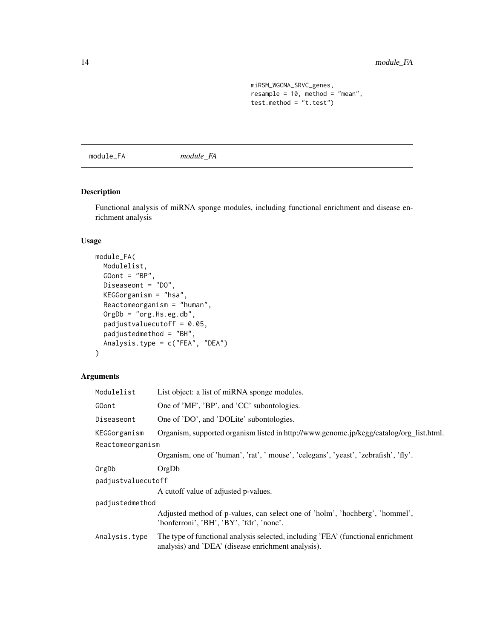```
miRSM_WGCNA_SRVC_genes,
resample = 10, method = "mean",
test.method = "t.test")
```
<span id="page-13-0"></span>module\_FA *module\_FA*

# Description

Functional analysis of miRNA sponge modules, including functional enrichment and disease enrichment analysis

# Usage

```
module_FA(
 Modulelist,
 GOont = "BP",Diseaseont = "DO",
 KEGGorganism = "hsa",
 Reactomeorganism = "human",
 OrgDb = "org.Hs.eg.db",
  padjustvaluecutoff = 0.05,
 padjustedmethod = "BH",
 Analysis.type = c("FEA", "DEA")
\mathcal{L}
```
# Arguments

| Modulelist         | List object: a list of miRNA sponge modules.                                                                                           |
|--------------------|----------------------------------------------------------------------------------------------------------------------------------------|
| GOont              | One of 'MF', 'BP', and 'CC' subontologies.                                                                                             |
| Diseaseont         | One of 'DO', and 'DOLite' subontologies.                                                                                               |
| KEGGorganism       | Organism, supported organism listed in http://www.genome.jp/kegg/catalog/org_list.html.                                                |
| Reactomeorganism   |                                                                                                                                        |
|                    | Organism, one of 'human', 'rat', ' mouse', 'celegans', 'yeast', 'zebrafish', 'fly'.                                                    |
| OrgDb              | OrgDb                                                                                                                                  |
| padjustvaluecutoff |                                                                                                                                        |
|                    | A cutoff value of adjusted p-values.                                                                                                   |
| padjustedmethod    |                                                                                                                                        |
|                    | Adjusted method of p-values, can select one of 'holm', 'hochberg', 'hommel',<br>'bonferroni', 'BH', 'BY', 'fdr', 'none'.               |
| Analysis.type      | The type of functional analysis selected, including 'FEA' (functional enrichment<br>analysis) and 'DEA' (disease enrichment analysis). |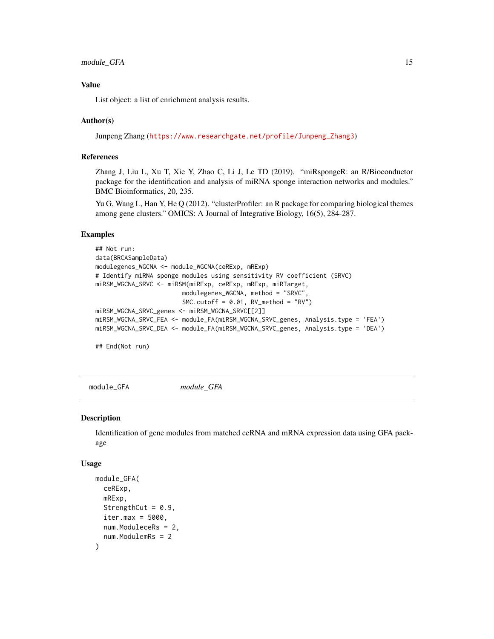# <span id="page-14-0"></span>module\_GFA 15

# Value

List object: a list of enrichment analysis results.

#### Author(s)

Junpeng Zhang ([https://www.researchgate.net/profile/Junpeng\\_Zhang3](https://www.researchgate.net/profile/Junpeng_Zhang3))

#### References

Zhang J, Liu L, Xu T, Xie Y, Zhao C, Li J, Le TD (2019). "miRspongeR: an R/Bioconductor package for the identification and analysis of miRNA sponge interaction networks and modules." BMC Bioinformatics, 20, 235.

Yu G, Wang L, Han Y, He Q (2012). "clusterProfiler: an R package for comparing biological themes among gene clusters." OMICS: A Journal of Integrative Biology, 16(5), 284-287.

#### Examples

```
## Not run:
data(BRCASampleData)
modulegenes_WGCNA <- module_WGCNA(ceRExp, mRExp)
# Identify miRNA sponge modules using sensitivity RV coefficient (SRVC)
miRSM_WGCNA_SRVC <- miRSM(miRExp, ceRExp, mRExp, miRTarget,
                        modulegenes_WGCNA, method = "SRVC",
                        SMC.cutoff = 0.01, RV_method = "RV")miRSM_WGCNA_SRVC_genes <- miRSM_WGCNA_SRVC[[2]]
miRSM_WGCNA_SRVC_FEA <- module_FA(miRSM_WGCNA_SRVC_genes, Analysis.type = 'FEA')
miRSM_WGCNA_SRVC_DEA <- module_FA(miRSM_WGCNA_SRVC_genes, Analysis.type = 'DEA')
```
## End(Not run)

module\_GFA *module\_GFA*

#### **Description**

Identification of gene modules from matched ceRNA and mRNA expression data using GFA package

#### Usage

```
module_GFA(
  ceRExp,
 mRExp,
 StrengthCut = 0.9,
  iter.max = 5000.num.ModuleceRs = 2,
  num.ModulemRs = 2
)
```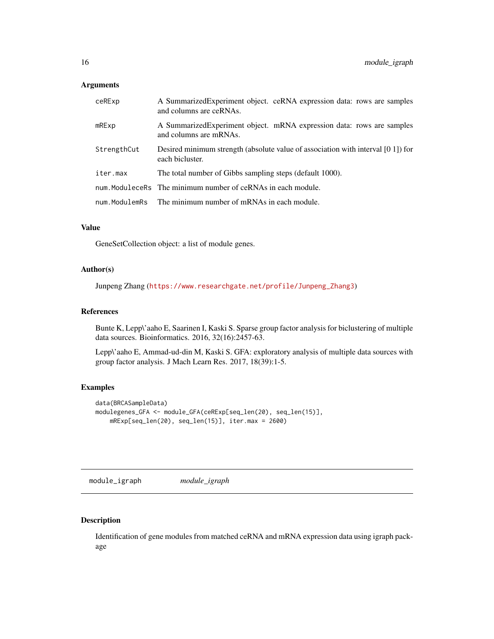#### <span id="page-15-0"></span>Arguments

| ceRExp        | A Summarized Experiment object. ceRNA expression data: rows are samples<br>and columns are ceRNAs.  |
|---------------|-----------------------------------------------------------------------------------------------------|
| $m$ R $Exp$   | A Summarized Experiment object. mRNA expression data: rows are samples<br>and columns are mRNAs.    |
| StrengthCut   | Desired minimum strength (absolute value of association with interval [0 1]) for<br>each bicluster. |
| iter.max      | The total number of Gibbs sampling steps (default 1000).                                            |
|               | num. ModuleceRs The minimum number of ceRNAs in each module.                                        |
| num.ModulemRs | The minimum number of mRNAs in each module.                                                         |

# Value

GeneSetCollection object: a list of module genes.

#### Author(s)

Junpeng Zhang ([https://www.researchgate.net/profile/Junpeng\\_Zhang3](https://www.researchgate.net/profile/Junpeng_Zhang3))

# References

Bunte K, Lepp\'aaho E, Saarinen I, Kaski S. Sparse group factor analysis for biclustering of multiple data sources. Bioinformatics. 2016, 32(16):2457-63.

Lepp\'aaho E, Ammad-ud-din M, Kaski S. GFA: exploratory analysis of multiple data sources with group factor analysis. J Mach Learn Res. 2017, 18(39):1-5.

# Examples

```
data(BRCASampleData)
modulegenes_GFA <- module_GFA(ceRExp[seq_len(20), seq_len(15)],
    mRExp[seq_len(20), seq_len(15)], iter.max = 2600)
```
module\_igraph *module\_igraph*

# Description

Identification of gene modules from matched ceRNA and mRNA expression data using igraph package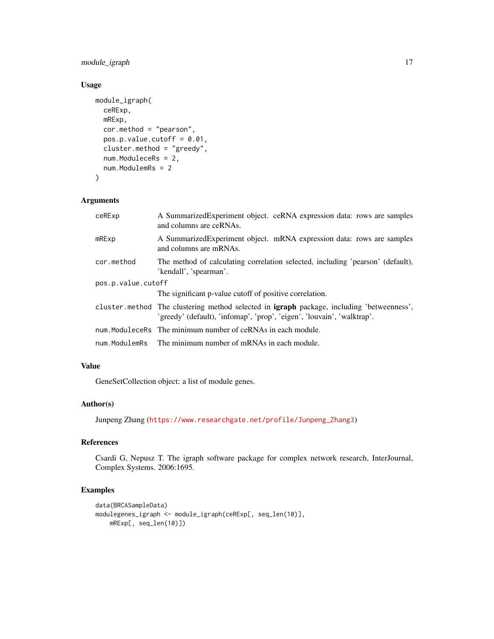# module\_igraph 17

# Usage

```
module_igraph(
 ceRExp,
 mRExp,
 cor.method = "pearson",
 pos.p.value.cutoff = 0.01,cluster.method = "greedy",
 num.ModuleceRs = 2,
 num.ModulemRs = 2
)
```
# Arguments

| ceRExp             | A Summarized Experiment object. ceRNA expression data: rows are samples<br>and columns are ceRNAs.                                                                         |
|--------------------|----------------------------------------------------------------------------------------------------------------------------------------------------------------------------|
| mRExp              | A Summarized Experiment object. mRNA expression data: rows are samples<br>and columns are mRNAs.                                                                           |
| cor.method         | The method of calculating correlation selected, including 'pearson' (default),<br>'kendall', 'spearman'.                                                                   |
| pos.p.value.cutoff |                                                                                                                                                                            |
|                    | The significant p-value cutoff of positive correlation.                                                                                                                    |
|                    | cluster method The clustering method selected in <b>igraph</b> package, including 'betweenness',<br>'greedy' (default), 'infomap', 'prop', 'eigen', 'louvain', 'walktrap'. |
|                    | num. ModuleceRs The minimum number of ceRNAs in each module.                                                                                                               |
| num.ModulemRs      | The minimum number of mRNAs in each module.                                                                                                                                |

# Value

GeneSetCollection object: a list of module genes.

# Author(s)

Junpeng Zhang ([https://www.researchgate.net/profile/Junpeng\\_Zhang3](https://www.researchgate.net/profile/Junpeng_Zhang3))

# References

Csardi G, Nepusz T. The igraph software package for complex network research, InterJournal, Complex Systems. 2006:1695.

```
data(BRCASampleData)
modulegenes_igraph <- module_igraph(ceRExp[, seq_len(10)],
    mRExp[, seq_len(10)])
```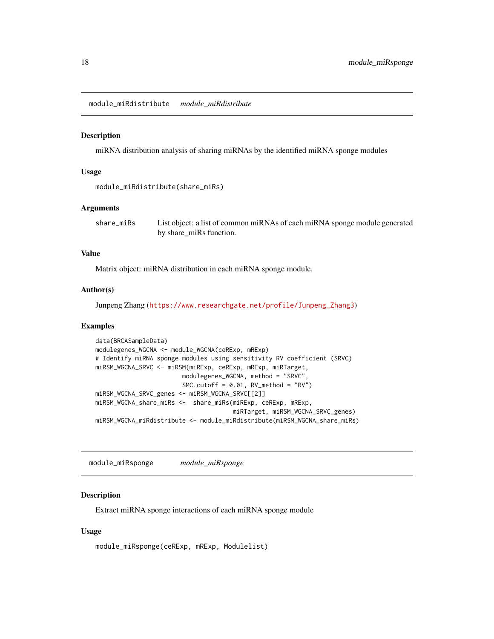<span id="page-17-0"></span>module\_miRdistribute *module\_miRdistribute*

#### Description

miRNA distribution analysis of sharing miRNAs by the identified miRNA sponge modules

#### Usage

```
module_miRdistribute(share_miRs)
```
#### Arguments

share\_miRs List object: a list of common miRNAs of each miRNA sponge module generated by share\_miRs function.

# Value

Matrix object: miRNA distribution in each miRNA sponge module.

#### Author(s)

Junpeng Zhang ([https://www.researchgate.net/profile/Junpeng\\_Zhang3](https://www.researchgate.net/profile/Junpeng_Zhang3))

#### Examples

```
data(BRCASampleData)
modulegenes_WGCNA <- module_WGCNA(ceRExp, mRExp)
# Identify miRNA sponge modules using sensitivity RV coefficient (SRVC)
miRSM_WGCNA_SRVC <- miRSM(miRExp, ceRExp, mRExp, miRTarget,
                        modulegenes_WGCNA, method = "SRVC",
                        SMC.cutoff = 0.01, RV_method = "RV")
miRSM_WGCNA_SRVC_genes <- miRSM_WGCNA_SRVC[[2]]
miRSM_WGCNA_share_miRs <- share_miRs(miRExp, ceRExp, mRExp,
                                      miRTarget, miRSM_WGCNA_SRVC_genes)
miRSM_WGCNA_miRdistribute <- module_miRdistribute(miRSM_WGCNA_share_miRs)
```
module\_miRsponge *module\_miRsponge*

# Description

Extract miRNA sponge interactions of each miRNA sponge module

#### Usage

module\_miRsponge(ceRExp, mRExp, Modulelist)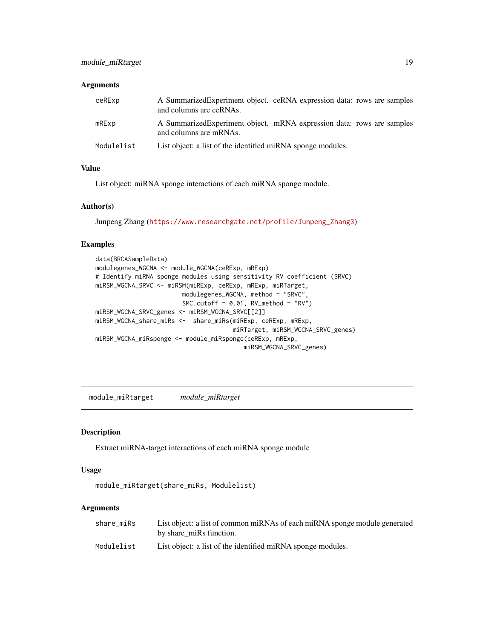# <span id="page-18-0"></span>Arguments

| ceRExp      | A Summarized Experiment object. ceRNA expression data: rows are samples<br>and columns are ceRNAs. |
|-------------|----------------------------------------------------------------------------------------------------|
| $m$ R $Exp$ | A Summarized Experiment object. mRNA expression data: rows are samples<br>and columns are mRNAs.   |
| Modulelist  | List object: a list of the identified miRNA sponge modules.                                        |

# Value

List object: miRNA sponge interactions of each miRNA sponge module.

#### Author(s)

Junpeng Zhang ([https://www.researchgate.net/profile/Junpeng\\_Zhang3](https://www.researchgate.net/profile/Junpeng_Zhang3))

# Examples

```
data(BRCASampleData)
modulegenes_WGCNA <- module_WGCNA(ceRExp, mRExp)
# Identify miRNA sponge modules using sensitivity RV coefficient (SRVC)
miRSM_WGCNA_SRVC <- miRSM(miRExp, ceRExp, mRExp, miRTarget,
                        modulegenes_WGCNA, method = "SRVC",
                        SMC.cutoff = 0.01, RV_method = "RV")miRSM_WGCNA_SRVC_genes <- miRSM_WGCNA_SRVC[[2]]
miRSM_WGCNA_share_miRs <- share_miRs(miRExp, ceRExp, mRExp,
                                      miRTarget, miRSM_WGCNA_SRVC_genes)
miRSM_WGCNA_miRsponge <- module_miRsponge(ceRExp, mRExp,
                                         miRSM_WGCNA_SRVC_genes)
```
module\_miRtarget *module\_miRtarget*

#### Description

Extract miRNA-target interactions of each miRNA sponge module

# Usage

```
module_miRtarget(share_miRs, Modulelist)
```
#### Arguments

| share miRs | List object: a list of common miRNAs of each miRNA sponge module generated<br>by share miRs function. |
|------------|-------------------------------------------------------------------------------------------------------|
| Modulelist | List object: a list of the identified miRNA sponge modules.                                           |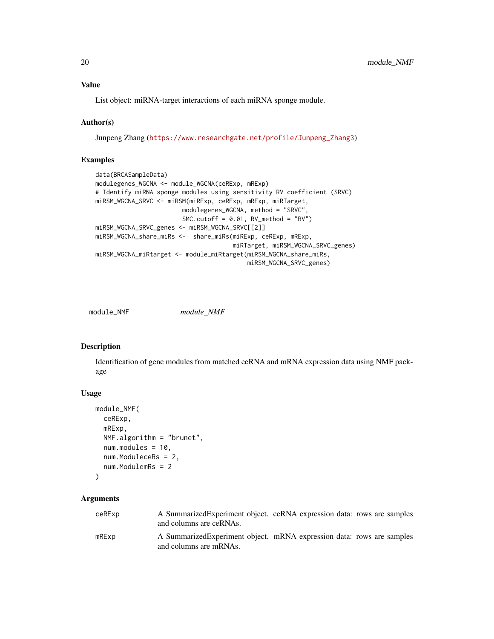<span id="page-19-0"></span>

List object: miRNA-target interactions of each miRNA sponge module.

# Author(s)

Junpeng Zhang ([https://www.researchgate.net/profile/Junpeng\\_Zhang3](https://www.researchgate.net/profile/Junpeng_Zhang3))

# Examples

```
data(BRCASampleData)
modulegenes_WGCNA <- module_WGCNA(ceRExp, mRExp)
# Identify miRNA sponge modules using sensitivity RV coefficient (SRVC)
miRSM_WGCNA_SRVC <- miRSM(miRExp, ceRExp, mRExp, miRTarget,
                       modulegenes_WGCNA, method = "SRVC",
                        SMC.cutoff = 0.01, RV_method = "RV")miRSM_WGCNA_SRVC_genes <- miRSM_WGCNA_SRVC[[2]]
miRSM_WGCNA_share_miRs <- share_miRs(miRExp, ceRExp, mRExp,
                                      miRTarget, miRSM_WGCNA_SRVC_genes)
miRSM_WGCNA_miRtarget <- module_miRtarget(miRSM_WGCNA_share_miRs,
                                          miRSM_WGCNA_SRVC_genes)
```
module\_NMF *module\_NMF*

# Description

Identification of gene modules from matched ceRNA and mRNA expression data using NMF package

#### Usage

```
module_NMF(
  ceRExp,
  mRExp,
 NMF.algorithm = "brunet",
  num.modules = 10,
  num.ModuleceRs = 2,
  num.ModulemRs = 2
)
```
# Arguments

| ceRExp       | A Summarized Experiment object. ceRNA expression data: rows are samples<br>and columns are ceRNAs. |  |
|--------------|----------------------------------------------------------------------------------------------------|--|
| $m$ R $Ex$ p | A Summarized Experiment object. mRNA expression data: rows are samples<br>and columns are mRNAs.   |  |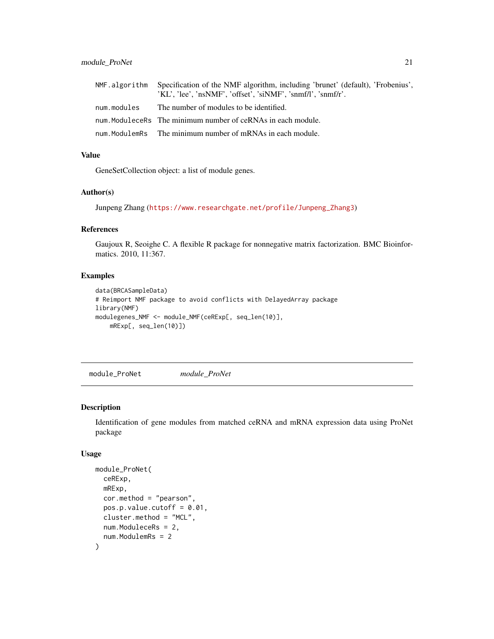<span id="page-20-0"></span>

|             | NMF. algorithm Specification of the NMF algorithm, including 'brunet' (default), 'Frobenius', |
|-------------|-----------------------------------------------------------------------------------------------|
|             | 'KL', 'lee', 'nsNMF', 'offset', 'siNMF', 'snmf/l', 'snmf/r'.                                  |
| num.modules | The number of modules to be identified.                                                       |
|             | num. ModuleceRs The minimum number of ceRNAs in each module.                                  |
|             | num. ModulemRs The minimum number of mRNAs in each module.                                    |

# Value

GeneSetCollection object: a list of module genes.

# Author(s)

Junpeng Zhang ([https://www.researchgate.net/profile/Junpeng\\_Zhang3](https://www.researchgate.net/profile/Junpeng_Zhang3))

# References

Gaujoux R, Seoighe C. A flexible R package for nonnegative matrix factorization. BMC Bioinformatics. 2010, 11:367.

# Examples

```
data(BRCASampleData)
# Reimport NMF package to avoid conflicts with DelayedArray package
library(NMF)
modulegenes_NMF <- module_NMF(ceRExp[, seq_len(10)],
   mRExp[, seq_len(10)])
```
module\_ProNet *module\_ProNet*

#### Description

Identification of gene modules from matched ceRNA and mRNA expression data using ProNet package

#### Usage

```
module_ProNet(
  ceRExp,
 mRExp,
  cor.method = "pearson",
  pos.p.value.cutoff = 0.01,cluster.method = "MCL",
  num.ModuleceRs = 2,
  num.ModulemRs = 2
)
```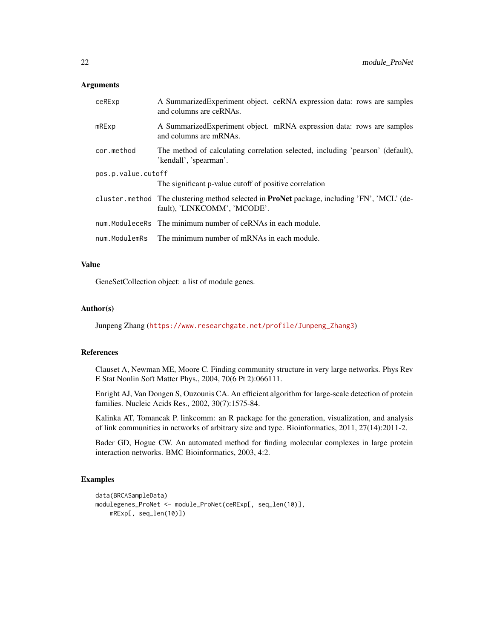#### **Arguments**

| ceRExp             | A SummarizedExperiment object. ceRNA expression data: rows are samples<br>and columns are ceRNAs.                                  |
|--------------------|------------------------------------------------------------------------------------------------------------------------------------|
| $m$ R $Exp$        | A Summarized Experiment object. mRNA expression data: rows are samples<br>and columns are mRNAs.                                   |
| cor.method         | The method of calculating correlation selected, including 'pearson' (default),<br>'kendall', 'spearman'.                           |
| pos.p.value.cutoff |                                                                                                                                    |
|                    | The significant p-value cutoff of positive correlation                                                                             |
|                    | cluster method The clustering method selected in <b>ProNet</b> package, including 'FN', 'MCL' (de-<br>fault), 'LINKCOMM', 'MCODE'. |
|                    | num. ModuleceRs The minimum number of ceRNAs in each module.                                                                       |
| num.ModulemRs      | The minimum number of mRNAs in each module.                                                                                        |

# Value

GeneSetCollection object: a list of module genes.

#### Author(s)

Junpeng Zhang ([https://www.researchgate.net/profile/Junpeng\\_Zhang3](https://www.researchgate.net/profile/Junpeng_Zhang3))

# References

Clauset A, Newman ME, Moore C. Finding community structure in very large networks. Phys Rev E Stat Nonlin Soft Matter Phys., 2004, 70(6 Pt 2):066111.

Enright AJ, Van Dongen S, Ouzounis CA. An efficient algorithm for large-scale detection of protein families. Nucleic Acids Res., 2002, 30(7):1575-84.

Kalinka AT, Tomancak P. linkcomm: an R package for the generation, visualization, and analysis of link communities in networks of arbitrary size and type. Bioinformatics, 2011, 27(14):2011-2.

Bader GD, Hogue CW. An automated method for finding molecular complexes in large protein interaction networks. BMC Bioinformatics, 2003, 4:2.

```
data(BRCASampleData)
modulegenes_ProNet <- module_ProNet(ceRExp[, seq_len(10)],
   mRExp[, seq_len(10)])
```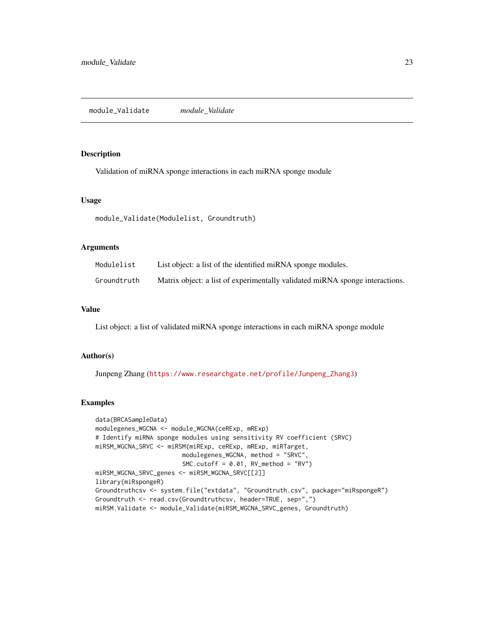#### <span id="page-22-0"></span>Description

Validation of miRNA sponge interactions in each miRNA sponge module

#### Usage

module\_Validate(Modulelist, Groundtruth)

#### Arguments

| Modulelist  | List object: a list of the identified miRNA sponge modules.                  |
|-------------|------------------------------------------------------------------------------|
| Groundtruth | Matrix object: a list of experimentally validated miRNA sponge interactions. |

# Value

List object: a list of validated miRNA sponge interactions in each miRNA sponge module

# Author(s)

Junpeng Zhang ([https://www.researchgate.net/profile/Junpeng\\_Zhang3](https://www.researchgate.net/profile/Junpeng_Zhang3))

```
data(BRCASampleData)
modulegenes_WGCNA <- module_WGCNA(ceRExp, mRExp)
# Identify miRNA sponge modules using sensitivity RV coefficient (SRVC)
miRSM_WGCNA_SRVC <- miRSM(miRExp, ceRExp, mRExp, miRTarget,
                        modulegenes_WGCNA, method = "SRVC",
                        SMC.cutoff = 0.01, RV\_method = "RV")miRSM_WGCNA_SRVC_genes <- miRSM_WGCNA_SRVC[[2]]
library(miRspongeR)
Groundtruthcsv <- system.file("extdata", "Groundtruth.csv", package="miRspongeR")
Groundtruth <- read.csv(Groundtruthcsv, header=TRUE, sep=",")
miRSM.Validate <- module_Validate(miRSM_WGCNA_SRVC_genes, Groundtruth)
```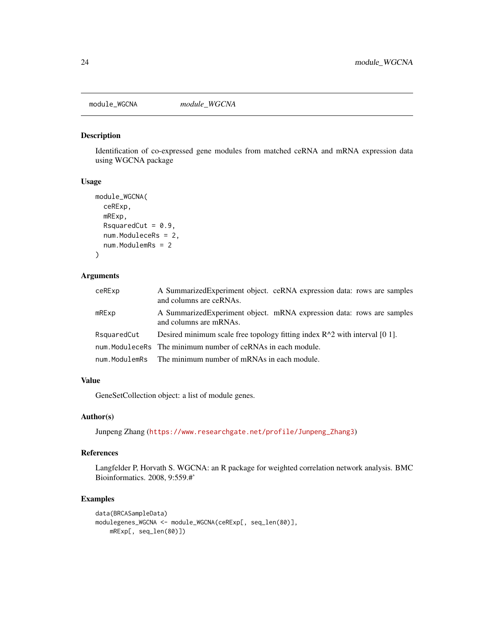<span id="page-23-0"></span>module\_WGCNA *module\_WGCNA*

#### Description

Identification of co-expressed gene modules from matched ceRNA and mRNA expression data using WGCNA package

# Usage

```
module_WGCNA(
  ceRExp,
  mRExp,
  RsquaredCut = 0.9,
  num.ModuleceRs = 2,
  num.ModulemRs = 2
\mathcal{L}
```
# Arguments

| ceRExp      | A SummarizedExperiment object. ceRNA expression data: rows are samples<br>and columns are ceRNAs. |  |
|-------------|---------------------------------------------------------------------------------------------------|--|
| $m$ R $Exp$ | A Summarized Experiment object. mRNA expression data: rows are samples<br>and columns are mRNAs.  |  |
| RsquaredCut | Desired minimum scale free topology fitting index $R^2$ with interval [0 1].                      |  |
|             | num. ModuleceRs The minimum number of ceRNAs in each module.                                      |  |
|             | num. ModulemRs The minimum number of mRNAs in each module.                                        |  |

## Value

GeneSetCollection object: a list of module genes.

# Author(s)

Junpeng Zhang ([https://www.researchgate.net/profile/Junpeng\\_Zhang3](https://www.researchgate.net/profile/Junpeng_Zhang3))

#### References

Langfelder P, Horvath S. WGCNA: an R package for weighted correlation network analysis. BMC Bioinformatics. 2008, 9:559.#'

```
data(BRCASampleData)
modulegenes_WGCNA <- module_WGCNA(ceRExp[, seq_len(80)],
    mRExp[, seq_len(80)])
```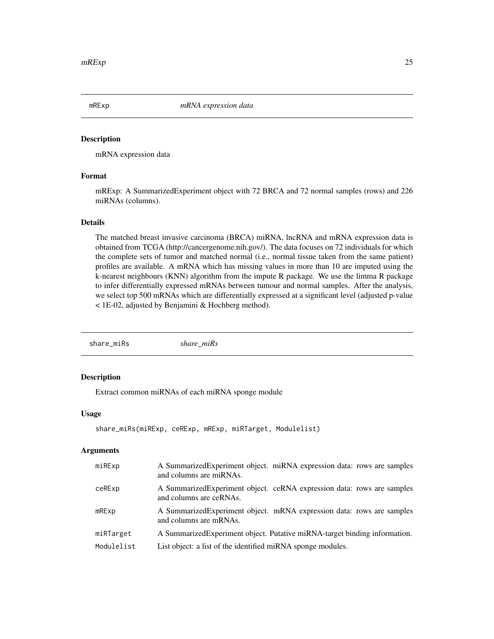<span id="page-24-0"></span>

### Description

mRNA expression data

# Format

mRExp: A SummarizedExperiment object with 72 BRCA and 72 normal samples (rows) and 226 miRNAs (columns).

# Details

The matched breast invasive carcinoma (BRCA) miRNA, lncRNA and mRNA expression data is obtained from TCGA (http://cancergenome.nih.gov/). The data focuses on 72 individuals for which the complete sets of tumor and matched normal (i.e., normal tissue taken from the same patient) profiles are available. A mRNA which has missing values in more than 10 are imputed using the k-nearest neighbours (KNN) algorithm from the impute R package. We use the limma R package to infer differentially expressed mRNAs between tumour and normal samples. After the analysis, we select top 500 mRNAs which are differentially expressed at a significant level (adjusted p-value < 1E-02, adjusted by Benjamini & Hochberg method).

share\_miRs *share\_miRs*

# Description

Extract common miRNAs of each miRNA sponge module

# Usage

```
share_miRs(miRExp, ceRExp, mRExp, miRTarget, Modulelist)
```
#### Arguments

| miRExp         | A Summarized Experiment object. miRNA expression data: rows are samples<br>and columns are miRNAs. |
|----------------|----------------------------------------------------------------------------------------------------|
| ceRExp         | A Summarized Experiment object. ceRNA expression data: rows are samples<br>and columns are ceRNAs. |
| $m$ R $E$ $xp$ | A Summarized Experiment object. mRNA expression data: rows are samples<br>and columns are mRNAs.   |
| miRTarget      | A Summarized Experiment object. Putative miRNA-target binding information.                         |
| Modulelist     | List object: a list of the identified miRNA sponge modules.                                        |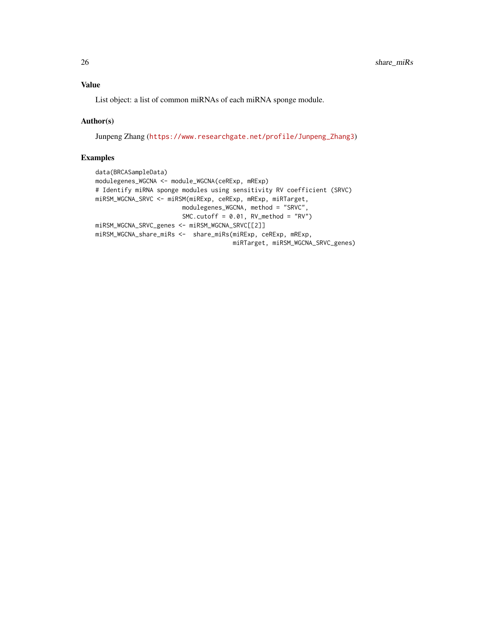List object: a list of common miRNAs of each miRNA sponge module.

# Author(s)

Junpeng Zhang ([https://www.researchgate.net/profile/Junpeng\\_Zhang3](https://www.researchgate.net/profile/Junpeng_Zhang3))

```
data(BRCASampleData)
modulegenes_WGCNA <- module_WGCNA(ceRExp, mRExp)
# Identify miRNA sponge modules using sensitivity RV coefficient (SRVC)
miRSM_WGCNA_SRVC <- miRSM(miRExp, ceRExp, mRExp, miRTarget,
                       modulegenes_WGCNA, method = "SRVC",
                        SMC.cutoff = 0.01, RV_method = "RV")
miRSM_WGCNA_SRVC_genes <- miRSM_WGCNA_SRVC[[2]]
miRSM_WGCNA_share_miRs <- share_miRs(miRExp, ceRExp, mRExp,
                                      miRTarget, miRSM_WGCNA_SRVC_genes)
```